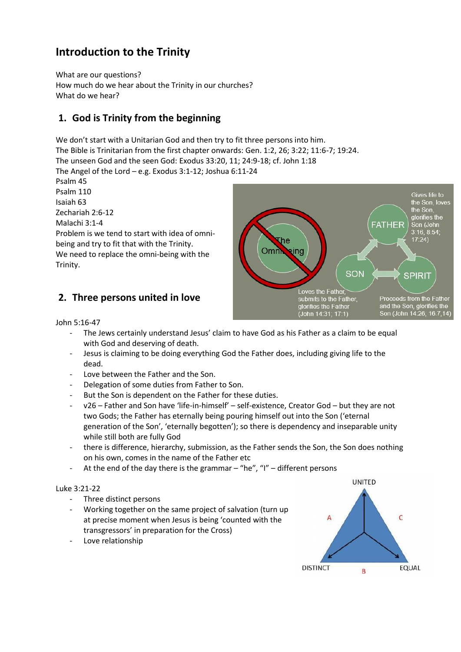# **Introduction to the Trinity**

What are our questions? How much do we hear about the Trinity in our churches? What do we hear?

### **1. God is Trinity from the beginning**

We don't start with a Unitarian God and then try to fit three persons into him.

The Bible is Trinitarian from the first chapter onwards: Gen. 1:2, 26; 3:22; 11:6-7; 19:24.

The unseen God and the seen God: Exodus 33:20, 11; 24:9-18; cf. John 1:18

The Angel of the Lord – e.g. Exodus 3:1-12; Joshua 6:11-24

Psalm 45 Psalm 110 Isaiah 63 Zechariah 2:6-12 Malachi 3:1-4 Problem is we tend to start with idea of omnibeing and try to fit that with the Trinity. We need to replace the omni-being with the Trinity.





John 5:16-47

- The Jews certainly understand Jesus' claim to have God as his Father as a claim to be equal with God and deserving of death.
- Jesus is claiming to be doing everything God the Father does, including giving life to the dead.
- Love between the Father and the Son.
- Delegation of some duties from Father to Son.
- But the Son is dependent on the Father for these duties.
- v26 Father and Son have 'life-in-himself' self-existence, Creator God but they are not two Gods; the Father has eternally being pouring himself out into the Son ('eternal generation of the Son', 'eternally begotten'); so there is dependency and inseparable unity while still both are fully God
- there is difference, hierarchy, submission, as the Father sends the Son, the Son does nothing on his own, comes in the name of the Father etc
- At the end of the day there is the grammar "he", "I" different persons

#### Luke 3:21-22

- Three distinct persons
- Working together on the same project of salvation (turn up at precise moment when Jesus is being 'counted with the transgressors' in preparation for the Cross)
- Love relationship

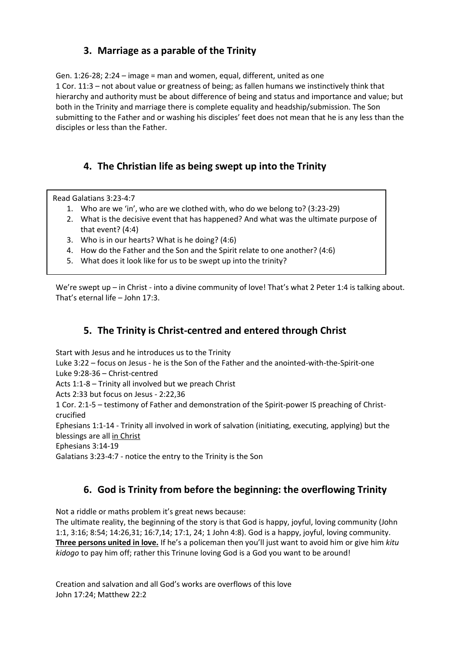#### **3. Marriage as a parable of the Trinity**

Gen. 1:26-28; 2:24 – image = man and women, equal, different, united as one 1 Cor. 11:3 – not about value or greatness of being; as fallen humans we instinctively think that hierarchy and authority must be about difference of being and status and importance and value; but both in the Trinity and marriage there is complete equality and headship/submission. The Son submitting to the Father and or washing his disciples' feet does not mean that he is any less than the disciples or less than the Father.

### **4. The Christian life as being swept up into the Trinity**

Read Galatians 3:23-4:7

- 1. Who are we 'in', who are we clothed with, who do we belong to? (3:23-29)
- 2. What is the decisive event that has happened? And what was the ultimate purpose of that event? (4:4)
- 3. Who is in our hearts? What is he doing? (4:6)
- 4. How do the Father and the Son and the Spirit relate to one another? (4:6)
- 5. What does it look like for us to be swept up into the trinity?

We're swept up – in Christ - into a divine community of love! That's what 2 Peter 1:4 is talking about. That's eternal life – John 17:3.

### **5. The Trinity is Christ-centred and entered through Christ**

Start with Jesus and he introduces us to the Trinity

Luke 3:22 – focus on Jesus - he is the Son of the Father and the anointed-with-the-Spirit-one Luke 9:28-36 – Christ-centred

Acts 1:1-8 – Trinity all involved but we preach Christ

Acts 2:33 but focus on Jesus - 2:22,36

1 Cor. 2:1-5 – testimony of Father and demonstration of the Spirit-power IS preaching of Christcrucified

Ephesians 1:1-14 - Trinity all involved in work of salvation (initiating, executing, applying) but the blessings are all in Christ

Ephesians 3:14-19

Galatians 3:23-4:7 - notice the entry to the Trinity is the Son

### **6. God is Trinity from before the beginning: the overflowing Trinity**

Not a riddle or maths problem it's great news because:

The ultimate reality, the beginning of the story is that God is happy, joyful, loving community (John 1:1, 3:16; 8:54; 14:26,31; 16:7,14; 17:1, 24; 1 John 4:8). God is a happy, joyful, loving community. **Three persons united in love.** If he's a policeman then you'll just want to avoid him or give him *kitu kidogo* to pay him off; rather this Trinune loving God is a God you want to be around!

Creation and salvation and all God's works are overflows of this love John 17:24; Matthew 22:2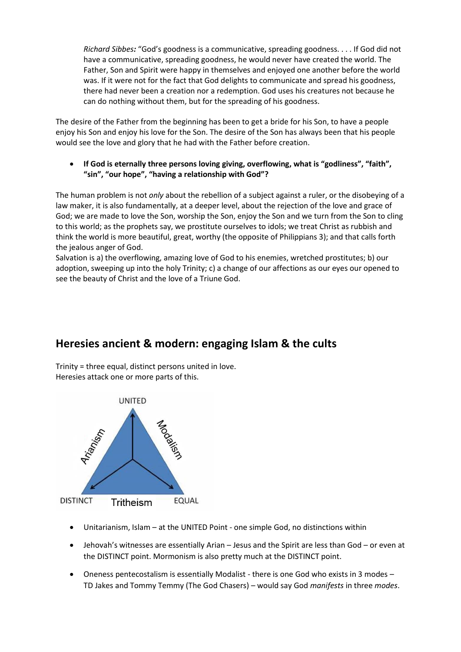*Richard Sibbes:* "God's goodness is a communicative, spreading goodness. . . . If God did not have a communicative, spreading goodness, he would never have created the world. The Father, Son and Spirit were happy in themselves and enjoyed one another before the world was. If it were not for the fact that God delights to communicate and spread his goodness, there had never been a creation nor a redemption. God uses his creatures not because he can do nothing without them, but for the spreading of his goodness.

The desire of the Father from the beginning has been to get a bride for his Son, to have a people enjoy his Son and enjoy his love for the Son. The desire of the Son has always been that his people would see the love and glory that he had with the Father before creation.

 **If God is eternally three persons loving giving, overflowing, what is "godliness", "faith", "sin", "our hope", "having a relationship with God"?**

The human problem is not *only* about the rebellion of a subject against a ruler, or the disobeying of a law maker, it is also fundamentally, at a deeper level, about the rejection of the love and grace of God; we are made to love the Son, worship the Son, enjoy the Son and we turn from the Son to cling to this world; as the prophets say, we prostitute ourselves to idols; we treat Christ as rubbish and think the world is more beautiful, great, worthy (the opposite of Philippians 3); and that calls forth the jealous anger of God.

Salvation is a) the overflowing, amazing love of God to his enemies, wretched prostitutes; b) our adoption, sweeping up into the holy Trinity; c) a change of our affections as our eyes our opened to see the beauty of Christ and the love of a Triune God.

## **Heresies ancient & modern: engaging Islam & the cults**

Trinity = three equal, distinct persons united in love. Heresies attack one or more parts of this.



- Unitarianism, Islam at the UNITED Point one simple God, no distinctions within
- Jehovah's witnesses are essentially Arian Jesus and the Spirit are less than God or even at the DISTINCT point. Mormonism is also pretty much at the DISTINCT point.
- Oneness pentecostalism is essentially Modalist there is one God who exists in 3 modes TD Jakes and Tommy Temmy (The God Chasers) – would say God *manifests* in three *modes*.